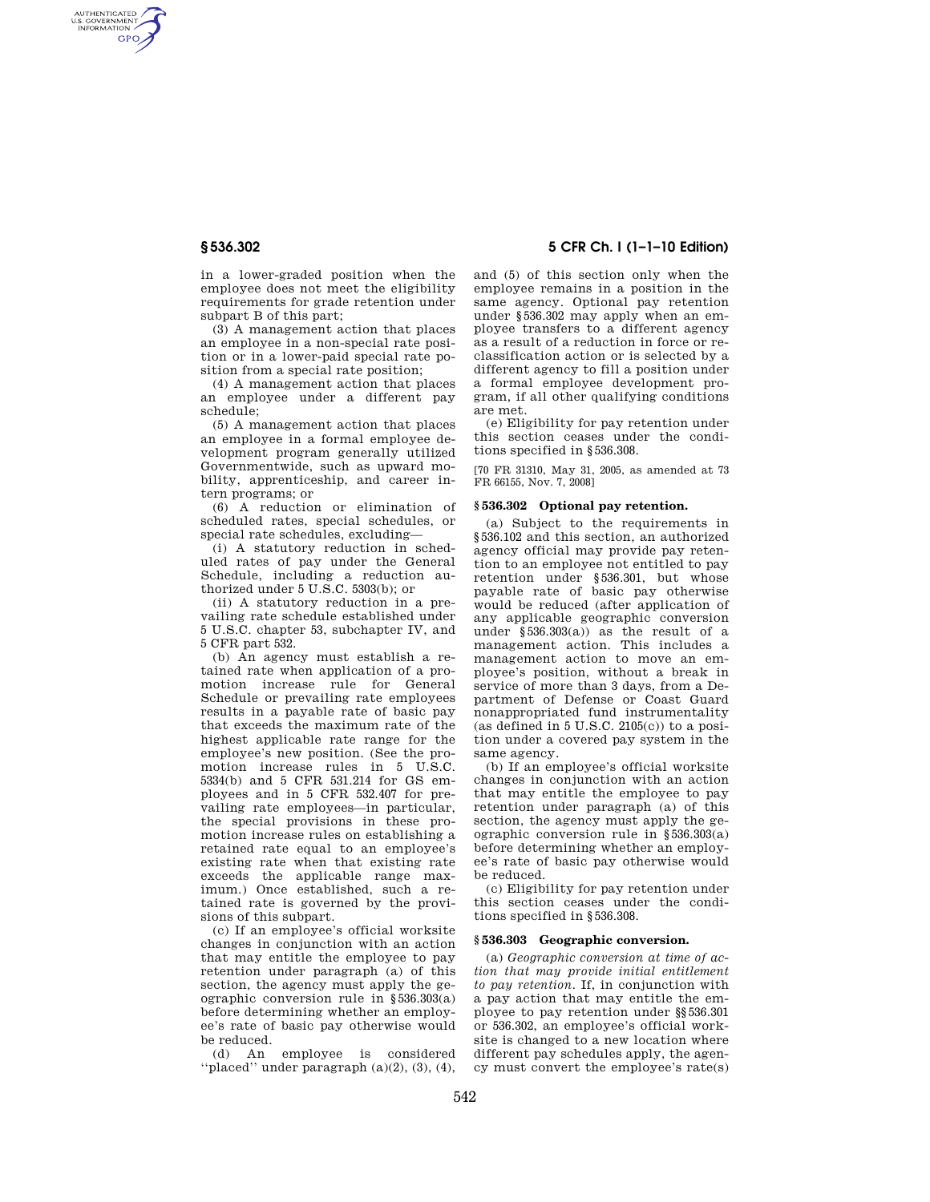AUTHENTICATED<br>U.S. GOVERNMENT<br>INFORMATION **GPO** 

> in a lower-graded position when the employee does not meet the eligibility requirements for grade retention under subpart B of this part;

> (3) A management action that places an employee in a non-special rate position or in a lower-paid special rate position from a special rate position;

> (4) A management action that places an employee under a different pay schedule;

> (5) A management action that places an employee in a formal employee development program generally utilized Governmentwide, such as upward mobility, apprenticeship, and career intern programs; or

> (6) A reduction or elimination of scheduled rates, special schedules, or special rate schedules, excluding—

> (i) A statutory reduction in scheduled rates of pay under the General Schedule, including a reduction authorized under 5 U.S.C. 5303(b); or

> (ii) A statutory reduction in a prevailing rate schedule established under 5 U.S.C. chapter 53, subchapter IV, and 5 CFR part 532.

> (b) An agency must establish a retained rate when application of a promotion increase rule for General Schedule or prevailing rate employees results in a payable rate of basic pay that exceeds the maximum rate of the highest applicable rate range for the employee's new position. (See the promotion increase rules in 5 U.S.C. 5334(b) and 5 CFR 531.214 for GS employees and in 5 CFR 532.407 for prevailing rate employees—in particular, the special provisions in these promotion increase rules on establishing a retained rate equal to an employee's existing rate when that existing rate exceeds the applicable range maximum.) Once established, such a retained rate is governed by the provisions of this subpart.

> (c) If an employee's official worksite changes in conjunction with an action that may entitle the employee to pay retention under paragraph (a) of this section, the agency must apply the geographic conversion rule in §536.303(a) before determining whether an employee's rate of basic pay otherwise would be reduced.

> (d) An employee is considered ''placed'' under paragraph (a)(2), (3), (4),

# **§ 536.302 5 CFR Ch. I (1–1–10 Edition)**

and (5) of this section only when the employee remains in a position in the same agency. Optional pay retention under §536.302 may apply when an employee transfers to a different agency as a result of a reduction in force or reclassification action or is selected by a different agency to fill a position under a formal employee development program, if all other qualifying conditions are met.

(e) Eligibility for pay retention under this section ceases under the conditions specified in §536.308.

[70 FR 31310, May 31, 2005, as amended at 73 FR 66155, Nov. 7, 2008]

## **§ 536.302 Optional pay retention.**

(a) Subject to the requirements in §536.102 and this section, an authorized agency official may provide pay retention to an employee not entitled to pay retention under §536.301, but whose payable rate of basic pay otherwise would be reduced (after application of any applicable geographic conversion under §536.303(a)) as the result of a management action. This includes a management action to move an employee's position, without a break in service of more than 3 days, from a Department of Defense or Coast Guard nonappropriated fund instrumentality (as defined in  $5$  U.S.C.  $2105(c)$ ) to a position under a covered pay system in the same agency.

(b) If an employee's official worksite changes in conjunction with an action that may entitle the employee to pay retention under paragraph (a) of this section, the agency must apply the geographic conversion rule in §536.303(a) before determining whether an employee's rate of basic pay otherwise would be reduced.

(c) Eligibility for pay retention under this section ceases under the conditions specified in §536.308.

### **§ 536.303 Geographic conversion.**

(a) *Geographic conversion at time of action that may provide initial entitlement to pay retention.* If, in conjunction with a pay action that may entitle the employee to pay retention under §§536.301 or 536.302, an employee's official worksite is changed to a new location where different pay schedules apply, the agency must convert the employee's rate(s)